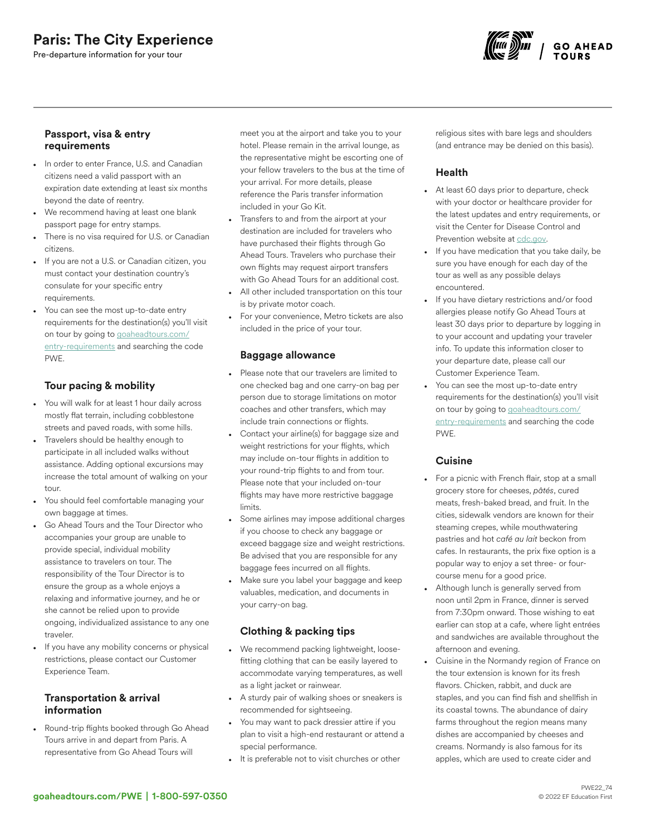# Paris: The City Experience

Pre-departure information for your tour



## Passport, visa & entry requirements

- In order to enter France, U.S. and Canadian citizens need a valid passport with an expiration date extending at least six months beyond the date of reentry.
- We recommend having at least one blank passport page for entry stamps.
- There is no visa required for U.S. or Canadian citizens.
- If you are not a U.S. or Canadian citizen, you must contact your destination country's consulate for your specific entry requirements.
- You can see the most up-to-date entry requirements for the destination(s) you'll visit on tour by going to [goaheadtours.com/](/entry-requirements?tourCode=PWE) [entry-requirements](/entry-requirements?tourCode=PWE) and searching the code PWE.

# Tour pacing & mobility

- You will walk for at least 1 hour daily across mostly flat terrain, including cobblestone streets and paved roads, with some hills.
- Travelers should be healthy enough to participate in all included walks without assistance. Adding optional excursions may increase the total amount of walking on your tour.
- You should feel comfortable managing your own baggage at times.
- Go Ahead Tours and the Tour Director who accompanies your group are unable to provide special, individual mobility assistance to travelers on tour. The responsibility of the Tour Director is to ensure the group as a whole enjoys a relaxing and informative journey, and he or she cannot be relied upon to provide ongoing, individualized assistance to any one traveler.
- If you have any mobility concerns or physical restrictions, please contact our Customer Experience Team.

## Transportation & arrival information

• Round-trip flights booked through Go Ahead Tours arrive in and depart from Paris. A representative from Go Ahead Tours will

meet you at the airport and take you to your hotel. Please remain in the arrival lounge, as the representative might be escorting one of your fellow travelers to the bus at the time of your arrival. For more details, please reference the Paris transfer information included in your Go Kit.

- Transfers to and from the airport at your destination are included for travelers who have purchased their flights through Go Ahead Tours. Travelers who purchase their own flights may request airport transfers with Go Ahead Tours for an additional cost.
- All other included transportation on this tour is by private motor coach.
- For your convenience, Metro tickets are also included in the price of your tour.

## Baggage allowance

- Please note that our travelers are limited to one checked bag and one carry-on bag per person due to storage limitations on motor coaches and other transfers, which may include train connections or flights.
- Contact your airline(s) for baggage size and weight restrictions for your flights, which may include on-tour flights in addition to your round-trip flights to and from tour. Please note that your included on-tour flights may have more restrictive baggage limits.
- Some airlines may impose additional charges if you choose to check any baggage or exceed baggage size and weight restrictions. Be advised that you are responsible for any baggage fees incurred on all flights.
- Make sure you label your baggage and keep valuables, medication, and documents in your carry-on bag.

# Clothing & packing tips

- We recommend packing lightweight, loosefitting clothing that can be easily layered to accommodate varying temperatures, as well as a light jacket or rainwear.
- A sturdy pair of walking shoes or sneakers is recommended for sightseeing.
- You may want to pack dressier attire if you plan to visit a high-end restaurant or attend a special performance.
- It is preferable not to visit churches or other

religious sites with bare legs and shoulders (and entrance may be denied on this basis).

# **Health**

- At least 60 days prior to departure, check with your doctor or healthcare provider for the latest updates and entry requirements, or visit the Center for Disease Control and Prevention website at [cdc.gov.](https://www.cdc.gov/)
- If you have medication that you take daily, be sure you have enough for each day of the tour as well as any possible delays encountered.
- If you have dietary restrictions and/or food allergies please notify Go Ahead Tours at least 30 days prior to departure by logging in to your account and updating your traveler info. To update this information closer to your departure date, please call our Customer Experience Team.
- You can see the most up-to-date entry requirements for the destination(s) you'll visit on tour by going to [goaheadtours.com/](/entry-requirements?tourCode=PWE) [entry-requirements](/entry-requirements?tourCode=PWE) and searching the code PWE.

## **Cuisine**

- For a picnic with French flair, stop at a small grocery store for cheeses, *pâtés*, cured meats, fresh-baked bread, and fruit. In the cities, sidewalk vendors are known for their steaming crepes, while mouthwatering pastries and hot *café au lait* beckon from cafes. In restaurants, the prix fixe option is a popular way to enjoy a set three- or fourcourse menu for a good price.
- Although lunch is generally served from noon until 2pm in France, dinner is served from 7:30pm onward. Those wishing to eat earlier can stop at a cafe, where light entrées and sandwiches are available throughout the afternoon and evening.
- Cuisine in the Normandy region of France on the tour extension is known for its fresh flavors. Chicken, rabbit, and duck are staples, and you can find fish and shellfish in its coastal towns. The abundance of dairy farms throughout the region means many dishes are accompanied by cheeses and creams. Normandy is also famous for its apples, which are used to create cider and